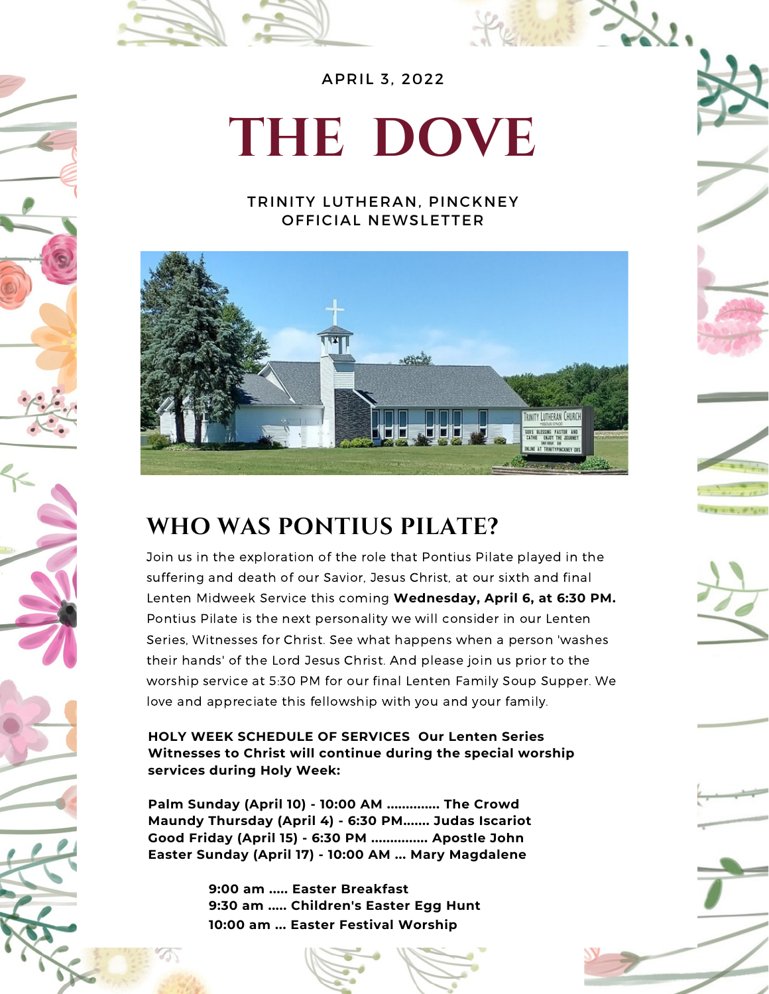

# **THE DOVE**

#### TRINITY LUTHERAN, PINCKNEY OFFICIAL NEWSLETTER



### **WHO WAS PONTIUS PILATE?**

Join us in the exploration of the role that Pontius Pilate played in the suffering and death of our Savior, Jesus Christ, at our sixth and final Lenten Midweek Service this coming **Wednesday, April 6, at 6:30 PM.** Pontius Pilate is the next personality we will consider in our Lenten Series, Witnesses for Christ. See what happens when a person 'washes their hands' of the Lord Jesus Christ. And please join us prior to the worship service at 5:30 PM for our final Lenten Family Soup Supper. We love and appreciate this fellowship with you and your family.

#### **HOLY WEEK SCHEDULE OF SERVICES Our Lenten Series Witnesses to Christ will continue during the special worship services during Holy Week:**

**Palm Sunday (April 10) - 10:00 AM .............. The Crowd Maundy Thursday (April 4) - 6:30 PM....... Judas Iscariot Good Friday (April 15) - 6:30 PM ............... Apostle John Easter Sunday (April 17) - 10:00 AM ... Mary Magdalene**

> **9:00 am ..... Easter Breakfast 9:30 am ..... Children's Easter Egg Hunt 10:00 am ... Easter Festival Worship**



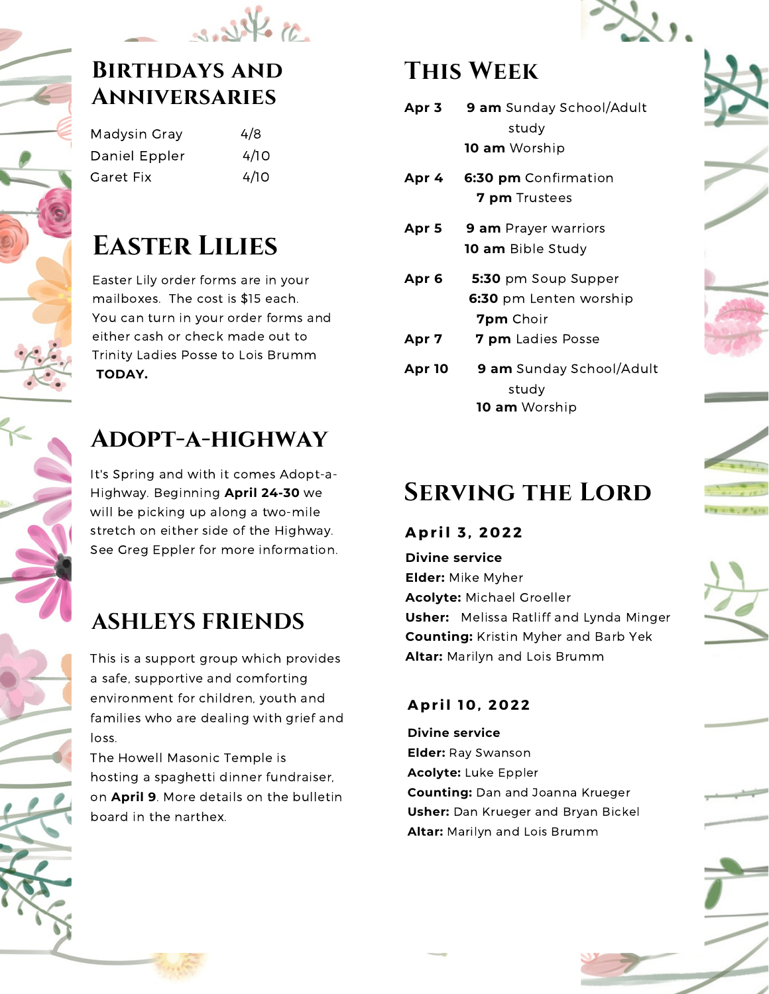

### **Birthdays and Anniversaries**

| Madysin Gray  | 4/8  |
|---------------|------|
| Daniel Eppler | 4/10 |
| Garet Fix     | 4/10 |

### **Easter Lilies**

Easter Lily order forms are in your mailboxes. The cost is \$15 each. You can turn in your order forms and either cash or check made out to Trinity Ladies Posse to Lois Brumm **TODAY.**

### **Adopt-a-highway**

It's Spring and with it comes Adopt-a-Highway. Beginning **April 24-30** we will be picking up along a two-mile stretch on either side of the Highway. See Greg Eppler for more information.

### **ASHLEYS FRIENDS**

This is a support group which provides a safe, supportive and comforting environment for children, youth and families who are dealing with grief and loss.

The Howell Masonic Temple is hosting a spaghetti dinner fundraiser, on **April 9**. More details on the bulletin board in the narthex.

### **This Week**

- **Apr 3 9 am** Sunday School/Adult study **10 am** Worship
- **Apr 4 6:30 pm** Confirmation **7 pm** Trustees
- **Apr 5 9 am** Prayer warriors **10 am** Bible Study
- **Apr 6 5:30** pm Soup Supper **6:30** pm Lenten worship **7pm** Choir
- **Apr 7 7 pm** Ladies Posse
- **Apr 10 9 am** Sunday School/Adult study **10 am** Worship

## **Serving the Lord**



**Divine service Elder:** Mike Myher **Acolyte:** Michael Groeller **Usher:** Melissa Ratliff and Lynda Minger **Counting:** Kristin Myher and Barb Yek **Altar:** Marilyn and Lois Brumm

### **Apr il 1 0 , 2 0 22**

**Divine service Elder:** Ray Swanson **Acolyte:** Luke Eppler **Counting:** Dan and Joanna Krueger **Usher:** Dan Krueger and Bryan Bickel **Altar:** Marilyn and Lois Brumm











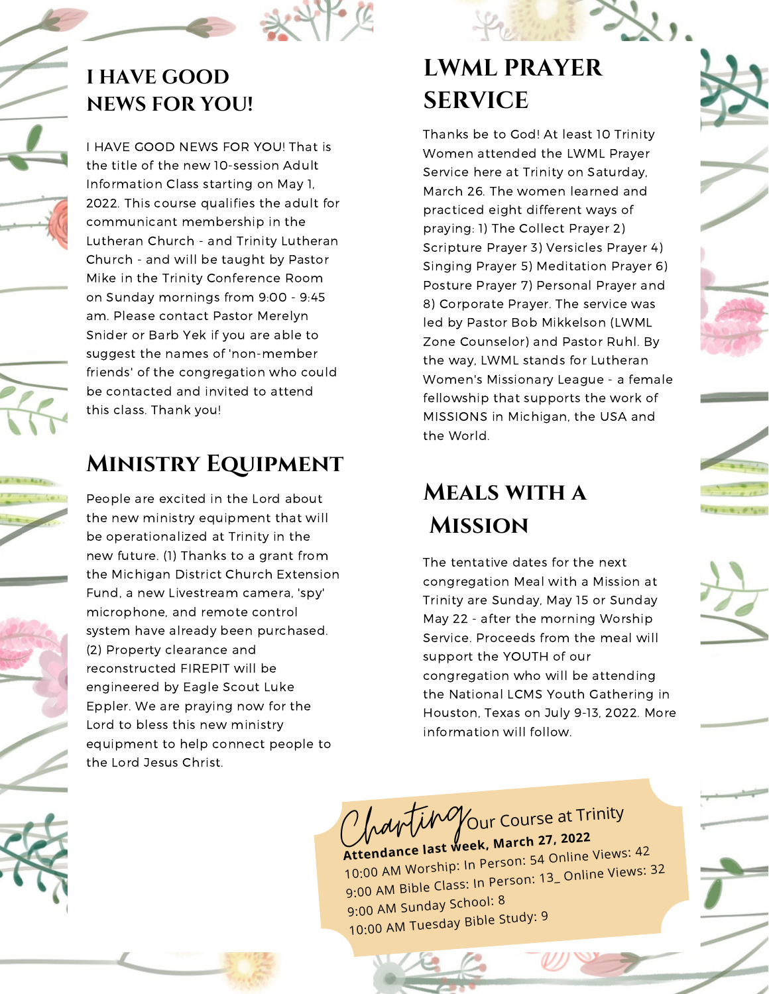### **I HAVE GOOD NEWS FOR YOU!**

I HAVE GOOD NEWS FOR YOU! That is the title of the new 10-session Adult Information Class starting on May 1, 2022. This course qualifies the adult for communicant membership in the Lutheran Church - and Trinity Lutheran Church - and will be taught by Pastor Mike in the Trinity Conference Room on Sunday mornings from 9:00 - 9:45 am. Please contact Pastor Merelyn Snider or Barb Yek if you are able to suggest the names of 'non-member friends' of the congregation who could be contacted and invited to attend this class. Thank you!

### **Ministry Equipment**

People are excited in the Lord about the new ministry equipment that will be operationalized at Trinity in the new future. (1) Thanks to a grant from the Michigan District Church Extension Fund, a new Livestream camera, 'spy' microphone, and remote control system have already been purchased. (2) Property clearance and reconstructed FIREPIT will be engineered by Eagle Scout Luke Eppler. We are praying now for the Lord to bless this new ministry equipment to help connect people to the Lord Jesus Christ.

### **LWML PRAYER SERVICE**

Thanks be to God! At least 10 Trinity Women attended the LWML Prayer Service here at Trinity on Saturday, March 26. The women learned and practiced eight different ways of praying: 1) The Collect Prayer 2) Scripture Prayer 3) Versicles Prayer 4) Singing Prayer 5) Meditation Prayer 6) Posture Prayer 7) Personal Prayer and 8) Corporate Prayer. The service was led by Pastor Bob Mikkelson (LWML Zone Counselor) and Pastor Ruhl. By the way, LWML stands for Lutheran Women's Missionary League - a female fellowship that supports the work of MISSIONS in Michigan, the USA and the World.

### **Meals with a Mission**

The tentative dates for the next congregation Meal with a Mission at Trinity are Sunday, May 15 or Sunday May 22 - after the morning Worship Service. Proceeds from the meal will support the YOUTH of our congregation who will be attending the National LCMS Youth Gathering in Houston, Texas on July 9-13, 2022. More information will follow.